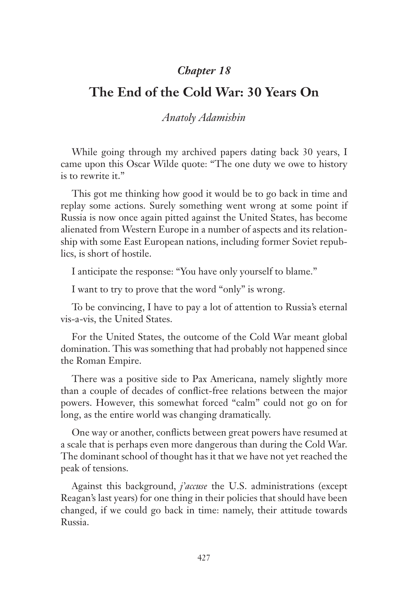## *Chapter 18*

## **The End of the Cold War: 30 Years On**

## *Anatoly Adamishin*

While going through my archived papers dating back 30 years, I came upon this Oscar Wilde quote: "The one duty we owe to history is to rewrite it."

This got me thinking how good it would be to go back in time and replay some actions. Surely something went wrong at some point if Russia is now once again pitted against the United States, has become alienated from Western Europe in a number of aspects and its relationship with some East European nations, including former Soviet republics, is short of hostile.

I anticipate the response: "You have only yourself to blame."

I want to try to prove that the word "only" is wrong.

To be convincing, I have to pay a lot of attention to Russia's eternal vis-a-vis, the United States.

For the United States, the outcome of the Cold War meant global domination. This was something that had probably not happened since the Roman Empire.

There was a positive side to Pax Americana, namely slightly more than a couple of decades of conflict-free relations between the major powers. However, this somewhat forced "calm" could not go on for long, as the entire world was changing dramatically.

One way or another, conflicts between great powers have resumed at a scale that is perhaps even more dangerous than during the Cold War. The dominant school of thought has it that we have not yet reached the peak of tensions.

Against this background, *j'accuse* the U.S. administrations (except Reagan's last years) for one thing in their policies that should have been changed, if we could go back in time: namely, their attitude towards Russia.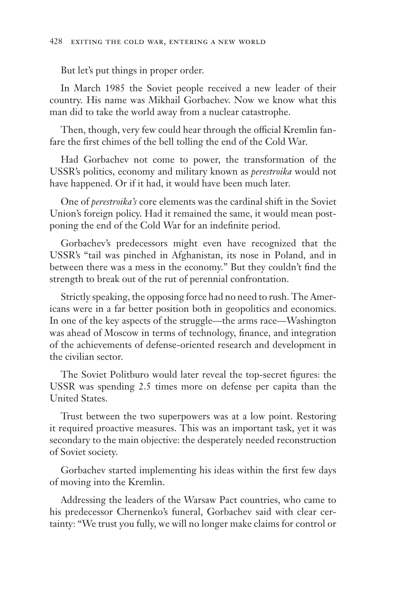But let's put things in proper order.

In March 1985 the Soviet people received a new leader of their country. His name was Mikhail Gorbachev. Now we know what this man did to take the world away from a nuclear catastrophe.

Then, though, very few could hear through the official Kremlin fanfare the first chimes of the bell tolling the end of the Cold War.

Had Gorbachev not come to power, the transformation of the USSR's politics, economy and military known as *perestroika* would not have happened. Or if it had, it would have been much later.

One of *perestroika's* core elements was the cardinal shift in the Soviet Union's foreign policy. Had it remained the same, it would mean postponing the end of the Cold War for an indefinite period.

Gorbachev's predecessors might even have recognized that the USSR's "tail was pinched in Afghanistan, its nose in Poland, and in between there was a mess in the economy." But they couldn't find the strength to break out of the rut of perennial confrontation.

Strictly speaking, the opposing force had no need to rush. The Americans were in a far better position both in geopolitics and economics. In one of the key aspects of the struggle—the arms race—Washington was ahead of Moscow in terms of technology, finance, and integration of the achievements of defense-oriented research and development in the civilian sector.

The Soviet Politburo would later reveal the top-secret figures: the USSR was spending 2.5 times more on defense per capita than the United States.

Trust between the two superpowers was at a low point. Restoring it required proactive measures. This was an important task, yet it was secondary to the main objective: the desperately needed reconstruction of Soviet society.

Gorbachev started implementing his ideas within the first few days of moving into the Kremlin.

Addressing the leaders of the Warsaw Pact countries, who came to his predecessor Chernenko's funeral, Gorbachev said with clear certainty: "We trust you fully, we will no longer make claims for control or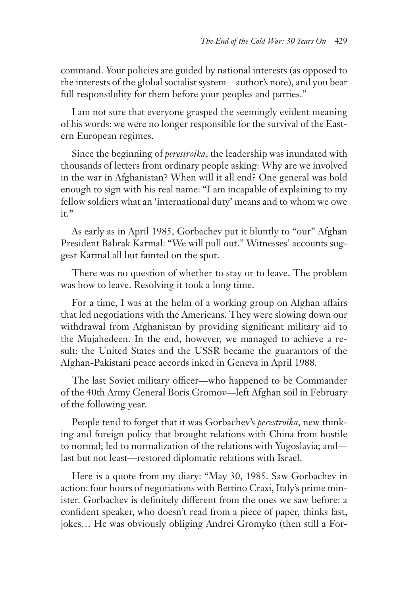command. Your policies are guided by national interests (as opposed to the interests of the global socialist system—author's note), and you bear full responsibility for them before your peoples and parties."

I am not sure that everyone grasped the seemingly evident meaning of his words: we were no longer responsible for the survival of the Eastern European regimes.

Since the beginning of *perestroika*, the leadership was inundated with thousands of letters from ordinary people asking: Why are we involved in the war in Afghanistan? When will it all end? One general was bold enough to sign with his real name: "I am incapable of explaining to my fellow soldiers what an 'international duty' means and to whom we owe it."

As early as in April 1985, Gorbachev put it bluntly to "our" Afghan President Babrak Karmal: "We will pull out." Witnesses' accounts suggest Karmal all but fainted on the spot.

There was no question of whether to stay or to leave. The problem was how to leave. Resolving it took a long time.

For a time, I was at the helm of a working group on Afghan affairs that led negotiations with the Americans. They were slowing down our withdrawal from Afghanistan by providing significant military aid to the Mujahedeen. In the end, however, we managed to achieve a result: the United States and the USSR became the guarantors of the Afghan-Pakistani peace accords inked in Geneva in April 1988.

The last Soviet military officer—who happened to be Commander of the 40th Army General Boris Gromov—left Afghan soil in February of the following year.

People tend to forget that it was Gorbachev's *perestroika*, new thinking and foreign policy that brought relations with China from hostile to normal; led to normalization of the relations with Yugoslavia; and last but not least—restored diplomatic relations with Israel.

Here is a quote from my diary: "May 30, 1985. Saw Gorbachev in action: four hours of negotiations with Bettino Craxi, Italy's prime minister. Gorbachev is definitely different from the ones we saw before: a confident speaker, who doesn't read from a piece of paper, thinks fast, jokes… He was obviously obliging Andrei Gromyko (then still a For-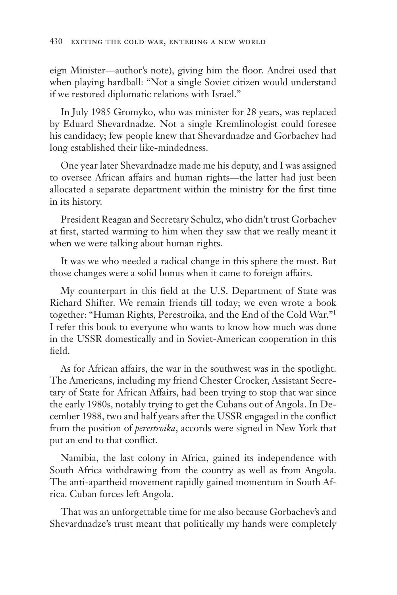eign Minister—author's note), giving him the floor. Andrei used that when playing hardball: "Not a single Soviet citizen would understand if we restored diplomatic relations with Israel."

In July 1985 Gromyko, who was minister for 28 years, was replaced by Eduard Shevardnadze. Not a single Kremlinologist could foresee his candidacy; few people knew that Shevardnadze and Gorbachev had long established their like-mindedness.

One year later Shevardnadze made me his deputy, and I was assigned to oversee African affairs and human rights—the latter had just been allocated a separate department within the ministry for the first time in its history.

President Reagan and Secretary Schultz, who didn't trust Gorbachev at first, started warming to him when they saw that we really meant it when we were talking about human rights.

It was we who needed a radical change in this sphere the most. But those changes were a solid bonus when it came to foreign affairs.

My counterpart in this field at the U.S. Department of State was Richard Shifter. We remain friends till today; we even wrote a book together: "Human Rights, Perestroika, and the End of the Cold War."1 I refer this book to everyone who wants to know how much was done in the USSR domestically and in Soviet-American cooperation in this field.

As for African affairs, the war in the southwest was in the spotlight. The Americans, including my friend Chester Crocker, Assistant Secretary of State for African Affairs, had been trying to stop that war since the early 1980s, notably trying to get the Cubans out of Angola. In December 1988, two and half years after the USSR engaged in the conflict from the position of *perestroika*, accords were signed in New York that put an end to that conflict.

Namibia, the last colony in Africa, gained its independence with South Africa withdrawing from the country as well as from Angola. The anti-apartheid movement rapidly gained momentum in South Africa. Cuban forces left Angola.

That was an unforgettable time for me also because Gorbachev's and Shevardnadze's trust meant that politically my hands were completely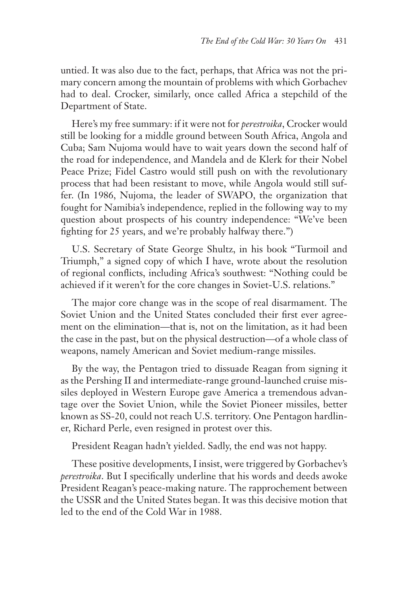untied. It was also due to the fact, perhaps, that Africa was not the primary concern among the mountain of problems with which Gorbachev had to deal. Crocker, similarly, once called Africa a stepchild of the Department of State.

Here's my free summary: if it were not for *perestroika*, Crocker would still be looking for a middle ground between South Africa, Angola and Cuba; Sam Nujoma would have to wait years down the second half of the road for independence, and Mandela and de Klerk for their Nobel Peace Prize; Fidel Castro would still push on with the revolutionary process that had been resistant to move, while Angola would still suffer. (In 1986, Nujoma, the leader of SWAPO, the organization that fought for Namibia's independence, replied in the following way to my question about prospects of his country independence: "We've been fighting for 25 years, and we're probably halfway there.")

U.S. Secretary of State George Shultz, in his book "Turmoil and Triumph," a signed copy of which I have, wrote about the resolution of regional conflicts, including Africa's southwest: "Nothing could be achieved if it weren't for the core changes in Soviet-U.S. relations."

The major core change was in the scope of real disarmament. The Soviet Union and the United States concluded their first ever agreement on the elimination—that is, not on the limitation, as it had been the case in the past, but on the physical destruction—of a whole class of weapons, namely American and Soviet medium-range missiles.

By the way, the Pentagon tried to dissuade Reagan from signing it as the Pershing II and intermediate-range ground-launched cruise missiles deployed in Western Europe gave America a tremendous advantage over the Soviet Union, while the Soviet Pioneer missiles, better known as SS-20, could not reach U.S. territory. One Pentagon hardliner, Richard Perle, even resigned in protest over this.

President Reagan hadn't yielded. Sadly, the end was not happy.

These positive developments, I insist, were triggered by Gorbachev's *perestroika*. But I specifically underline that his words and deeds awoke President Reagan's peace-making nature. The rapprochement between the USSR and the United States began. It was this decisive motion that led to the end of the Cold War in 1988.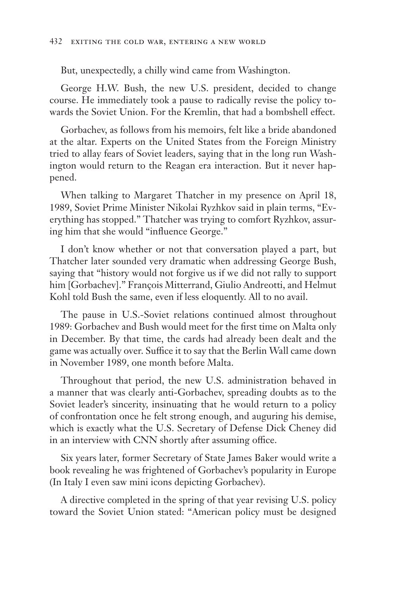But, unexpectedly, a chilly wind came from Washington.

George H.W. Bush, the new U.S. president, decided to change course. He immediately took a pause to radically revise the policy towards the Soviet Union. For the Kremlin, that had a bombshell effect.

Gorbachev, as follows from his memoirs, felt like a bride abandoned at the altar. Experts on the United States from the Foreign Ministry tried to allay fears of Soviet leaders, saying that in the long run Washington would return to the Reagan era interaction. But it never happened.

When talking to Margaret Thatcher in my presence on April 18, 1989, Soviet Prime Minister Nikolai Ryzhkov said in plain terms, "Everything has stopped." Thatcher was trying to comfort Ryzhkov, assuring him that she would "influence George."

I don't know whether or not that conversation played a part, but Thatcher later sounded very dramatic when addressing George Bush, saying that "history would not forgive us if we did not rally to support him [Gorbachev]." François Mitterrand, Giulio Andreotti, and Helmut Kohl told Bush the same, even if less eloquently. All to no avail.

The pause in U.S.-Soviet relations continued almost throughout 1989: Gorbachev and Bush would meet for the first time on Malta only in December. By that time, the cards had already been dealt and the game was actually over. Suffice it to say that the Berlin Wall came down in November 1989, one month before Malta.

Throughout that period, the new U.S. administration behaved in a manner that was clearly anti-Gorbachev, spreading doubts as to the Soviet leader's sincerity, insinuating that he would return to a policy of confrontation once he felt strong enough, and auguring his demise, which is exactly what the U.S. Secretary of Defense Dick Cheney did in an interview with CNN shortly after assuming office.

Six years later, former Secretary of State James Baker would write a book revealing he was frightened of Gorbachev's popularity in Europe (In Italy I even saw mini icons depicting Gorbachev).

A directive completed in the spring of that year revising U.S. policy toward the Soviet Union stated: "American policy must be designed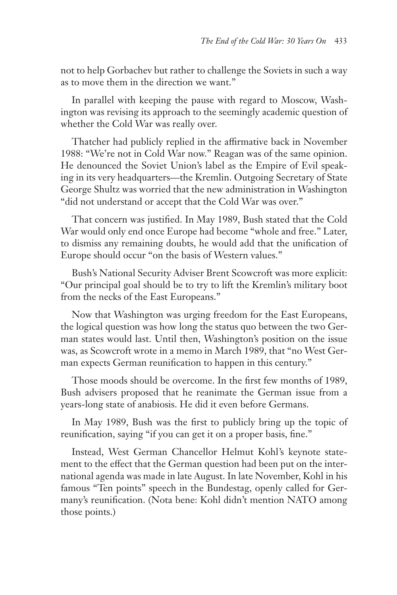not to help Gorbachev but rather to challenge the Soviets in such a way as to move them in the direction we want."

In parallel with keeping the pause with regard to Moscow, Washington was revising its approach to the seemingly academic question of whether the Cold War was really over.

Thatcher had publicly replied in the affirmative back in November 1988: "We're not in Cold War now." Reagan was of the same opinion. He denounced the Soviet Union's label as the Empire of Evil speaking in its very headquarters—the Kremlin. Outgoing Secretary of State George Shultz was worried that the new administration in Washington "did not understand or accept that the Cold War was over."

That concern was justified. In May 1989, Bush stated that the Cold War would only end once Europe had become "whole and free." Later, to dismiss any remaining doubts, he would add that the unification of Europe should occur "on the basis of Western values."

Bush's National Security Adviser Brent Scowcroft was more explicit: "Our principal goal should be to try to lift the Kremlin's military boot from the necks of the East Europeans."

Now that Washington was urging freedom for the East Europeans, the logical question was how long the status quo between the two German states would last. Until then, Washington's position on the issue was, as Scowcroft wrote in a memo in March 1989, that "no West German expects German reunification to happen in this century."

Those moods should be overcome. In the first few months of 1989, Bush advisers proposed that he reanimate the German issue from a years-long state of anabiosis. He did it even before Germans.

In May 1989, Bush was the first to publicly bring up the topic of reunification, saying "if you can get it on a proper basis, fine."

Instead, West German Chancellor Helmut Kohl's keynote statement to the effect that the German question had been put on the international agenda was made in late August. In late November, Kohl in his famous "Ten points" speech in the Bundestag, openly called for Germany's reunification. (Nota bene: Kohl didn't mention NATO among those points.)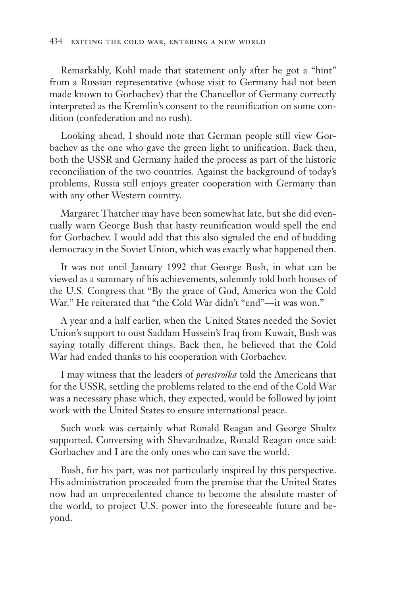Remarkably, Kohl made that statement only after he got a "hint" from a Russian representative (whose visit to Germany had not been made known to Gorbachev) that the Chancellor of Germany correctly interpreted as the Kremlin's consent to the reunification on some condition (confederation and no rush).

Looking ahead, I should note that German people still view Gorbachev as the one who gave the green light to unification. Back then, both the USSR and Germany hailed the process as part of the historic reconciliation of the two countries. Against the background of today's problems, Russia still enjoys greater cooperation with Germany than with any other Western country.

Margaret Thatcher may have been somewhat late, but she did eventually warn George Bush that hasty reunification would spell the end for Gorbachev. I would add that this also signaled the end of budding democracy in the Soviet Union, which was exactly what happened then.

It was not until January 1992 that George Bush, in what can be viewed as a summary of his achievements, solemnly told both houses of the U.S. Congress that "By the grace of God, America won the Cold War." He reiterated that "the Cold War didn't "end"—it was won."

A year and a half earlier, when the United States needed the Soviet Union's support to oust Saddam Hussein's Iraq from Kuwait, Bush was saying totally different things. Back then, he believed that the Cold War had ended thanks to his cooperation with Gorbachev.

I may witness that the leaders of *perestroika* told the Americans that for the USSR, settling the problems related to the end of the Cold War was a necessary phase which, they expected, would be followed by joint work with the United States to ensure international peace.

Such work was certainly what Ronald Reagan and George Shultz supported. Conversing with Shevardnadze, Ronald Reagan once said: Gorbachev and I are the only ones who can save the world.

Bush, for his part, was not particularly inspired by this perspective. His administration proceeded from the premise that the United States now had an unprecedented chance to become the absolute master of the world, to project U.S. power into the foreseeable future and beyond.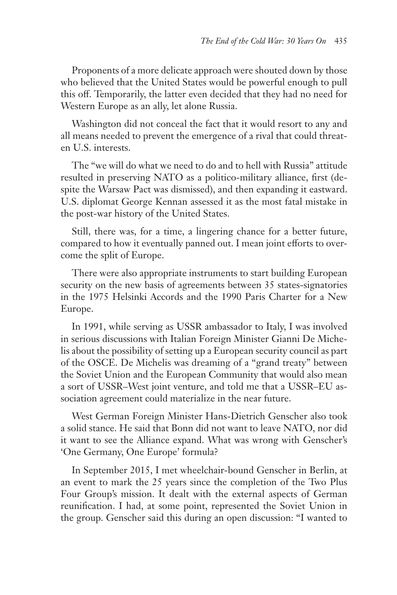Proponents of a more delicate approach were shouted down by those who believed that the United States would be powerful enough to pull this off. Temporarily, the latter even decided that they had no need for Western Europe as an ally, let alone Russia.

Washington did not conceal the fact that it would resort to any and all means needed to prevent the emergence of a rival that could threaten U.S. interests.

The "we will do what we need to do and to hell with Russia" attitude resulted in preserving NATO as a politico-military alliance, first (despite the Warsaw Pact was dismissed), and then expanding it eastward. U.S. diplomat George Kennan assessed it as the most fatal mistake in the post-war history of the United States.

Still, there was, for a time, a lingering chance for a better future, compared to how it eventually panned out. I mean joint efforts to overcome the split of Europe.

There were also appropriate instruments to start building European security on the new basis of agreements between 35 states-signatories in the 1975 Helsinki Accords and the 1990 Paris Charter for a New Europe.

In 1991, while serving as USSR ambassador to Italy, I was involved in serious discussions with Italian Foreign Minister Gianni De Michelis about the possibility of setting up a European security council as part of the OSCE. De Michelis was dreaming of a "grand treaty" between the Soviet Union and the European Community that would also mean a sort of USSR–West joint venture, and told me that a USSR–EU association agreement could materialize in the near future.

West German Foreign Minister Hans-Dietrich Genscher also took a solid stance. He said that Bonn did not want to leave NATO, nor did it want to see the Alliance expand. What was wrong with Genscher's 'One Germany, One Europe' formula?

In September 2015, I met wheelchair-bound Genscher in Berlin, at an event to mark the 25 years since the completion of the Two Plus Four Group's mission. It dealt with the external aspects of German reunification. I had, at some point, represented the Soviet Union in the group. Genscher said this during an open discussion: "I wanted to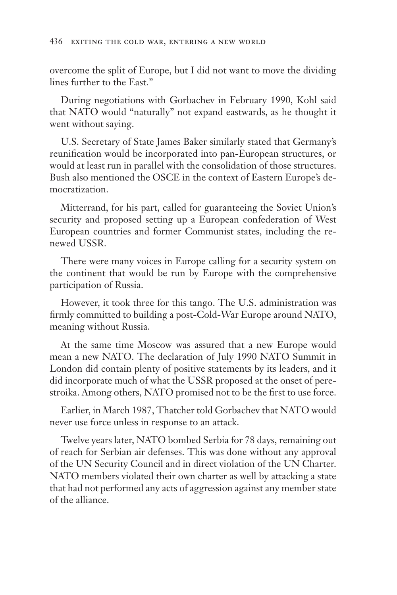overcome the split of Europe, but I did not want to move the dividing lines further to the East."

During negotiations with Gorbachev in February 1990, Kohl said that NATO would "naturally" not expand eastwards, as he thought it went without saying.

U.S. Secretary of State James Baker similarly stated that Germany's reunification would be incorporated into pan-European structures, or would at least run in parallel with the consolidation of those structures. Bush also mentioned the OSCE in the context of Eastern Europe's democratization.

Mitterrand, for his part, called for guaranteeing the Soviet Union's security and proposed setting up a European confederation of West European countries and former Communist states, including the renewed USSR.

There were many voices in Europe calling for a security system on the continent that would be run by Europe with the comprehensive participation of Russia.

However, it took three for this tango. The U.S. administration was firmly committed to building a post-Cold-War Europe around NATO, meaning without Russia.

At the same time Moscow was assured that a new Europe would mean a new NATO. The declaration of July 1990 NATO Summit in London did contain plenty of positive statements by its leaders, and it did incorporate much of what the USSR proposed at the onset of perestroika. Among others, NATO promised not to be the first to use force.

Earlier, in March 1987, Thatcher told Gorbachev that NATO would never use force unless in response to an attack.

Twelve years later, NATO bombed Serbia for 78 days, remaining out of reach for Serbian air defenses. This was done without any approval of the UN Security Council and in direct violation of the UN Charter. NATO members violated their own charter as well by attacking a state that had not performed any acts of aggression against any member state of the alliance.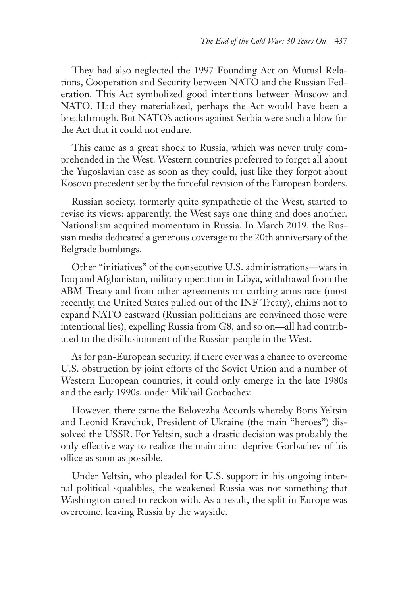They had also neglected the 1997 Founding Act on Mutual Relations, Cooperation and Security between NATO and the Russian Federation. This Act symbolized good intentions between Moscow and NATO. Had they materialized, perhaps the Act would have been a breakthrough. But NATO's actions against Serbia were such a blow for the Act that it could not endure.

This came as a great shock to Russia, which was never truly comprehended in the West. Western countries preferred to forget all about the Yugoslavian case as soon as they could, just like they forgot about Kosovo precedent set by the forceful revision of the European borders.

Russian society, formerly quite sympathetic of the West, started to revise its views: apparently, the West says one thing and does another. Nationalism acquired momentum in Russia. In March 2019, the Russian media dedicated a generous coverage to the 20th anniversary of the Belgrade bombings.

Other "initiatives" of the consecutive U.S. administrations—wars in Iraq and Afghanistan, military operation in Libya, withdrawal from the ABM Treaty and from other agreements on curbing arms race (most recently, the United States pulled out of the INF Treaty), claims not to expand NATO eastward (Russian politicians are convinced those were intentional lies), expelling Russia from G8, and so on—all had contributed to the disillusionment of the Russian people in the West.

As for pan-European security, if there ever was a chance to overcome U.S. obstruction by joint efforts of the Soviet Union and a number of Western European countries, it could only emerge in the late 1980s and the early 1990s, under Mikhail Gorbachev.

However, there came the Belovezha Accords whereby Boris Yeltsin and Leonid Kravchuk, President of Ukraine (the main "heroes") dissolved the USSR. For Yeltsin, such a drastic decision was probably the only effective way to realize the main aim: deprive Gorbachev of his office as soon as possible.

Under Yeltsin, who pleaded for U.S. support in his ongoing internal political squabbles, the weakened Russia was not something that Washington cared to reckon with. As a result, the split in Europe was overcome, leaving Russia by the wayside.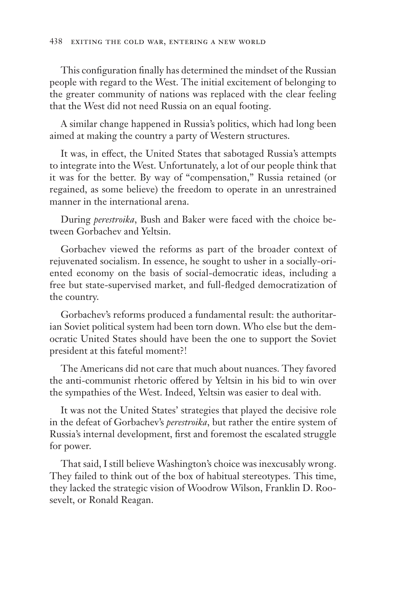This configuration finally has determined the mindset of the Russian people with regard to the West. The initial excitement of belonging to the greater community of nations was replaced with the clear feeling that the West did not need Russia on an equal footing.

A similar change happened in Russia's politics, which had long been aimed at making the country a party of Western structures.

It was, in effect, the United States that sabotaged Russia's attempts to integrate into the West. Unfortunately, a lot of our people think that it was for the better. By way of "compensation," Russia retained (or regained, as some believe) the freedom to operate in an unrestrained manner in the international arena.

During *perestroika*, Bush and Baker were faced with the choice between Gorbachev and Yeltsin.

Gorbachev viewed the reforms as part of the broader context of rejuvenated socialism. In essence, he sought to usher in a socially-oriented economy on the basis of social-democratic ideas, including a free but state-supervised market, and full-fledged democratization of the country.

Gorbachev's reforms produced a fundamental result: the authoritarian Soviet political system had been torn down. Who else but the democratic United States should have been the one to support the Soviet president at this fateful moment?!

The Americans did not care that much about nuances. They favored the anti-communist rhetoric offered by Yeltsin in his bid to win over the sympathies of the West. Indeed, Yeltsin was easier to deal with.

It was not the United States' strategies that played the decisive role in the defeat of Gorbachev's *perestroika*, but rather the entire system of Russia's internal development, first and foremost the escalated struggle for power.

That said, I still believe Washington's choice was inexcusably wrong. They failed to think out of the box of habitual stereotypes. This time, they lacked the strategic vision of Woodrow Wilson, Franklin D. Roosevelt, or Ronald Reagan.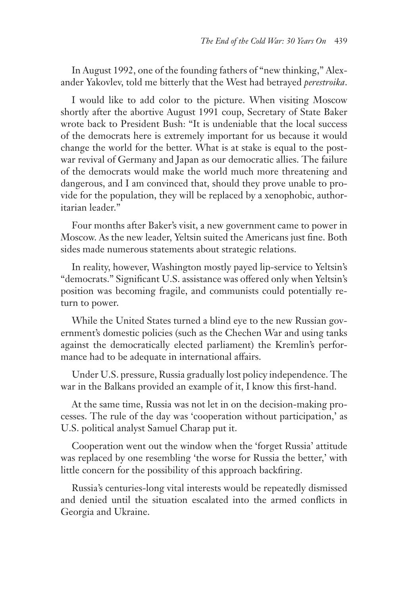In August 1992, one of the founding fathers of "new thinking," Alexander Yakovlev, told me bitterly that the West had betrayed *perestroika*.

I would like to add color to the picture. When visiting Moscow shortly after the abortive August 1991 coup, Secretary of State Baker wrote back to President Bush: "It is undeniable that the local success of the democrats here is extremely important for us because it would change the world for the better. What is at stake is equal to the postwar revival of Germany and Japan as our democratic allies. The failure of the democrats would make the world much more threatening and dangerous, and I am convinced that, should they prove unable to provide for the population, they will be replaced by a xenophobic, authoritarian leader."

Four months after Baker's visit, a new government came to power in Moscow. As the new leader, Yeltsin suited the Americans just fine. Both sides made numerous statements about strategic relations.

In reality, however, Washington mostly payed lip-service to Yeltsin's "democrats." Significant U.S. assistance was offered only when Yeltsin's position was becoming fragile, and communists could potentially return to power.

While the United States turned a blind eye to the new Russian government's domestic policies (such as the Chechen War and using tanks against the democratically elected parliament) the Kremlin's performance had to be adequate in international affairs.

Under U.S. pressure, Russia gradually lost policy independence. The war in the Balkans provided an example of it, I know this first-hand.

At the same time, Russia was not let in on the decision-making processes. The rule of the day was 'cooperation without participation,' as U.S. political analyst Samuel Charap put it.

Cooperation went out the window when the 'forget Russia' attitude was replaced by one resembling 'the worse for Russia the better,' with little concern for the possibility of this approach backfiring.

Russia's centuries-long vital interests would be repeatedly dismissed and denied until the situation escalated into the armed conflicts in Georgia and Ukraine.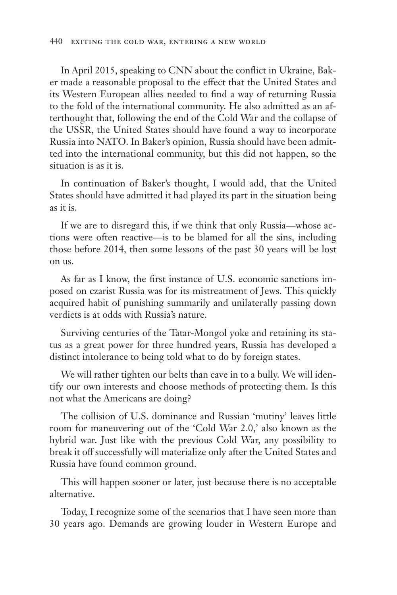In April 2015, speaking to CNN about the conflict in Ukraine, Baker made a reasonable proposal to the effect that the United States and its Western European allies needed to find a way of returning Russia to the fold of the international community. He also admitted as an afterthought that, following the end of the Cold War and the collapse of the USSR, the United States should have found a way to incorporate Russia into NATO. In Baker's opinion, Russia should have been admitted into the international community, but this did not happen, so the situation is as it is.

In continuation of Baker's thought, I would add, that the United States should have admitted it had played its part in the situation being as it is.

If we are to disregard this, if we think that only Russia—whose actions were often reactive—is to be blamed for all the sins, including those before 2014, then some lessons of the past 30 years will be lost on us.

As far as I know, the first instance of U.S. economic sanctions imposed on czarist Russia was for its mistreatment of Jews. This quickly acquired habit of punishing summarily and unilaterally passing down verdicts is at odds with Russia's nature.

Surviving centuries of the Tatar-Mongol yoke and retaining its status as a great power for three hundred years, Russia has developed a distinct intolerance to being told what to do by foreign states.

We will rather tighten our belts than cave in to a bully. We will identify our own interests and choose methods of protecting them. Is this not what the Americans are doing?

The collision of U.S. dominance and Russian 'mutiny' leaves little room for maneuvering out of the 'Cold War 2.0,' also known as the hybrid war. Just like with the previous Cold War, any possibility to break it off successfully will materialize only after the United States and Russia have found common ground.

This will happen sooner or later, just because there is no acceptable alternative.

Today, I recognize some of the scenarios that I have seen more than 30 years ago. Demands are growing louder in Western Europe and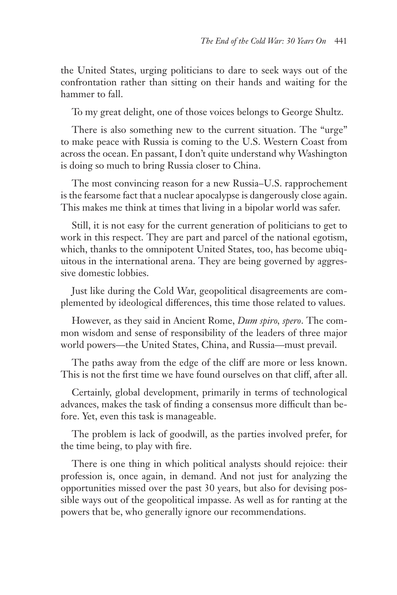the United States, urging politicians to dare to seek ways out of the confrontation rather than sitting on their hands and waiting for the hammer to fall.

To my great delight, one of those voices belongs to George Shultz.

There is also something new to the current situation. The "urge" to make peace with Russia is coming to the U.S. Western Coast from across the ocean. En passant, I don't quite understand why Washington is doing so much to bring Russia closer to China.

The most convincing reason for a new Russia–U.S. rapprochement is the fearsome fact that a nuclear apocalypse is dangerously close again. This makes me think at times that living in a bipolar world was safer.

Still, it is not easy for the current generation of politicians to get to work in this respect. They are part and parcel of the national egotism, which, thanks to the omnipotent United States, too, has become ubiquitous in the international arena. They are being governed by aggressive domestic lobbies.

Just like during the Cold War, geopolitical disagreements are complemented by ideological differences, this time those related to values.

However, as they said in Ancient Rome, *Dum spiro, spero*. The common wisdom and sense of responsibility of the leaders of three major world powers—the United States, China, and Russia—must prevail.

The paths away from the edge of the cliff are more or less known. This is not the first time we have found ourselves on that cliff, after all.

Certainly, global development, primarily in terms of technological advances, makes the task of finding a consensus more difficult than before. Yet, even this task is manageable.

The problem is lack of goodwill, as the parties involved prefer, for the time being, to play with fire.

There is one thing in which political analysts should rejoice: their profession is, once again, in demand. And not just for analyzing the opportunities missed over the past 30 years, but also for devising possible ways out of the geopolitical impasse. As well as for ranting at the powers that be, who generally ignore our recommendations.